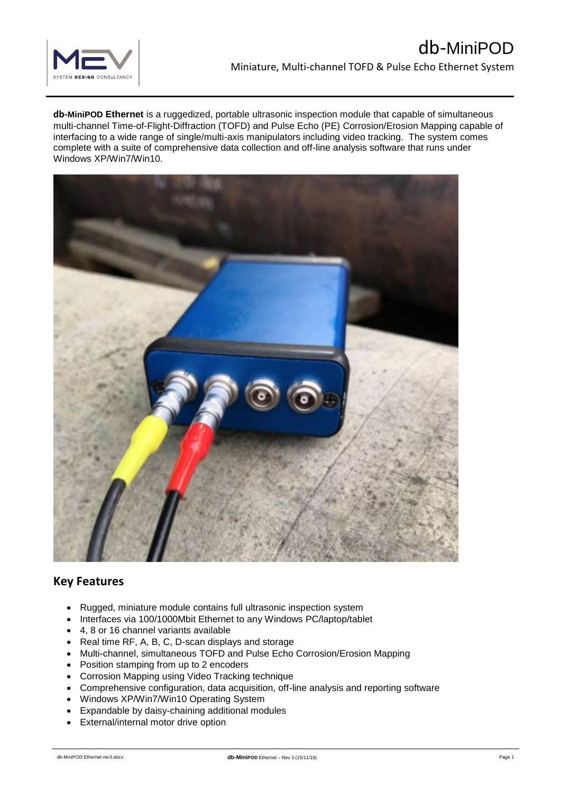

**db-MiniPOD Ethernet** is a ruggedized, portable ultrasonic inspection module that capable of simultaneous multi-channel Time-of-Flight-Diffraction (TOFD) and Pulse Echo (PE) Corrosion/Erosion Mapping capable of interfacing to a wide range of single/multi-axis manipulators including video tracking. The system comes complete with a suite of comprehensive data collection and off-line analysis software that runs under Windows XP/Win7/Win10.



# **Key Features**

- Rugged, miniature module contains full ultrasonic inspection system
- Interfaces via 100/1000Mbit Ethernet to any Windows PC/laptop/tablet
- 4, 8 or 16 channel variants available
- Real time RF, A, B, C, D-scan displays and storage
- Multi-channel, simultaneous TOFD and Pulse Echo Corrosion/Erosion Mapping
- Position stamping from up to 2 encoders
- Corrosion Mapping using Video Tracking technique
- Comprehensive configuration, data acquisition, off-line analysis and reporting software
- Windows XP/Win7/Win10 Operating System
- Expandable by daisy-chaining additional modules
- External/internal motor drive option